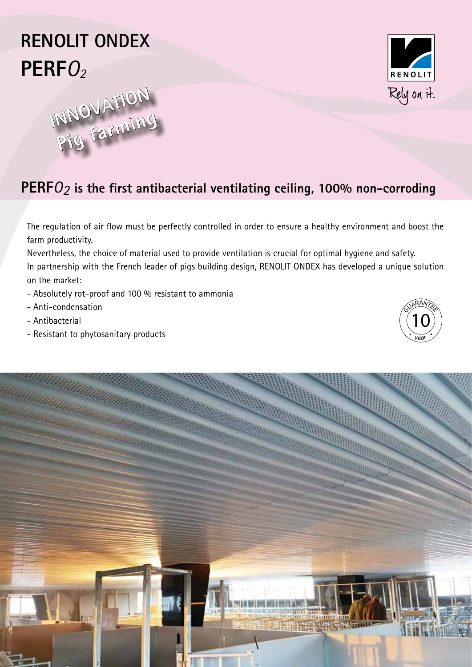# **RENOLIT ONDEX PERF**O2





## **PERF**O<sup>2</sup> **is the first antibacterial ventilating ceiling, 100% non-corroding**

The regulation of air flow must be perfectly controlled in order to ensure a healthy environment and boost the farm productivity.

Nevertheless, the choice of material used to provide ventilation is crucial for optimal hygiene and safety. In partnership with the French leader of pigs building design, RENOLIT ONDEX has developed a unique solution

on the market:

- Absolutely rot-proof and 100 % resistant to ammonia
- Anti-condensation
- Antibacterial
- Resistant to phytosanitary products